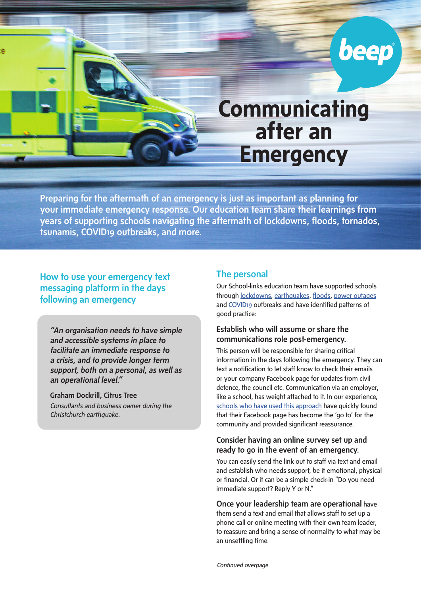# **Communicating after an Emergency**

beep

Preparing for the aftermath of an emergency is just as important as planning for your immediate emergency response. Our education team share their learnings from years of supporting schools navigating the aftermath of lockdowns, floods, tornados, tsunamis, COVID19 outbreaks, and more.

## How to use your emergency text messaging platform in the days following an emergency

*"An organisation needs to have simple and accessible systems in place to facilitate an immediate response to a crisis, and to provide longer term support, both on a personal, as well as an operational level."*

Graham Dockrill, Citrus Tree *Consultants and business owner during the Christchurch earthquake.*

## The personal

Our School-links education team have supported schools through [lockdowns](https://www.school-links.co.nz/post/edge-school-we-ve-got-this-during-police-lockdown), [earthquakes](https://www.school-links.co.nz/post/how-newlands-school-stomped-on-the-rumours-during-wellington-s-wild-week), [floods](https://www.school-links.co.nz/post/how-newlands-school-stomped-on-the-rumours-during-wellington-s-wild-week), [power outages](https://www.school-links.co.nz/post/lytton-high-school-s-power-to-communicate-during-power-outages) and [COVID19](https://www.school-links.co.nz/post/communicating-through-the-covid-19-response) outbreaks and have identified patterns of good practice:

#### Establish who will assume or share the communications role post-emergency.

This person will be responsible for sharing critical information in the days following the emergency. They can text a notification to let staff know to check their emails or your company Facebook page for updates from civil defence, the council etc. Communication via an employer, like a school, has weight attached to it. In our experience, [schools who have used this approach](https://www.school-links.co.nz/post/when-covid-strikes-your-school-communication-and-management-strategies) have quickly found that their Facebook page has become the 'go to' for the community and provided significant reassurance.

#### Consider having an online survey set up and ready to go in the event of an emergency.

You can easily send the link out to staff via text and email and establish who needs support, be it emotional, physical or financial. Or it can be a simple check-in "Do you need immediate support? Reply Y or N."

### Once your leadership team are operational have

them send a text and email that allows staff to set up a phone call or online meeting with their own team leader, to reassure and bring a sense of normality to what may be an unsettling time.